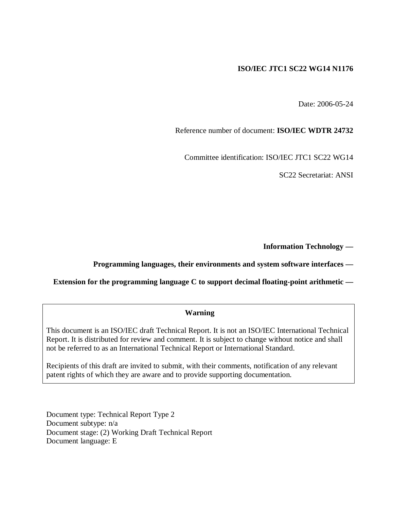#### **ISO/IEC JTC1 SC22 WG14 N1176**

Date: 2006-05-24

Reference number of document: **ISO/IEC WDTR 24732** 

Committee identification: ISO/IEC JTC1 SC22 WG14

SC22 Secretariat: ANSI

**Information Technology —** 

#### **Programming languages, their environments and system software interfaces —**

**Extension for the programming language C to support decimal floating-point arithmetic —** 

#### **Warning**

This document is an ISO/IEC draft Technical Report. It is not an ISO/IEC International Technical Report. It is distributed for review and comment. It is subject to change without notice and shall not be referred to as an International Technical Report or International Standard.

Recipients of this draft are invited to submit, with their comments, notification of any relevant patent rights of which they are aware and to provide supporting documentation.

Document type: Technical Report Type 2 Document subtype: n/a Document stage: (2) Working Draft Technical Report Document language: E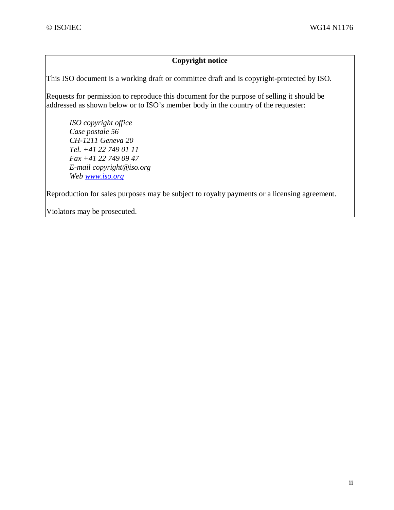#### **Copyright notice**

This ISO document is a working draft or committee draft and is copyright-protected by ISO.

Requests for permission to reproduce this document for the purpose of selling it should be addressed as shown below or to ISO's member body in the country of the requester:

*ISO copyright office Case postale 56 CH-1211 Geneva 20 Tel. +41 22 749 01 11 Fax +41 22 749 09 47 E-mail copyright@iso.org Web www.iso.org*

Reproduction for sales purposes may be subject to royalty payments or a licensing agreement.

Violators may be prosecuted.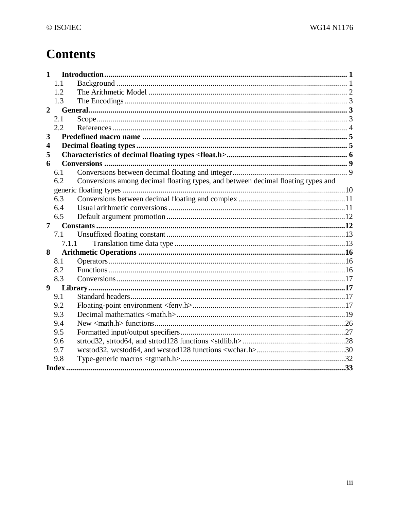# **Contents**

| 1              |       |                                                                                  |  |  |
|----------------|-------|----------------------------------------------------------------------------------|--|--|
|                | 1.1   |                                                                                  |  |  |
|                | 1.2   |                                                                                  |  |  |
|                | 1.3   |                                                                                  |  |  |
| $\overline{2}$ |       |                                                                                  |  |  |
|                | 2.1   |                                                                                  |  |  |
|                | 2.2   |                                                                                  |  |  |
| 3              |       |                                                                                  |  |  |
| 4              |       |                                                                                  |  |  |
| 5              |       |                                                                                  |  |  |
| 6              |       |                                                                                  |  |  |
|                | 6.1   |                                                                                  |  |  |
|                | 6.2   | Conversions among decimal floating types, and between decimal floating types and |  |  |
|                |       |                                                                                  |  |  |
|                | 6.3   |                                                                                  |  |  |
|                | 6.4   |                                                                                  |  |  |
|                | 6.5   |                                                                                  |  |  |
| 7              |       |                                                                                  |  |  |
|                | 7.1   |                                                                                  |  |  |
|                | 7.1.1 |                                                                                  |  |  |
| 8              |       |                                                                                  |  |  |
|                | 8.1   |                                                                                  |  |  |
|                | 8.2   |                                                                                  |  |  |
|                | 8.3   |                                                                                  |  |  |
| 9              |       |                                                                                  |  |  |
|                | 9.1   |                                                                                  |  |  |
|                | 9.2   |                                                                                  |  |  |
|                | 9.3   |                                                                                  |  |  |
|                | 9.4   |                                                                                  |  |  |
|                | 9.5   |                                                                                  |  |  |
|                | 9.6   |                                                                                  |  |  |
|                | 9.7   |                                                                                  |  |  |
|                | 9.8   |                                                                                  |  |  |
|                | Index |                                                                                  |  |  |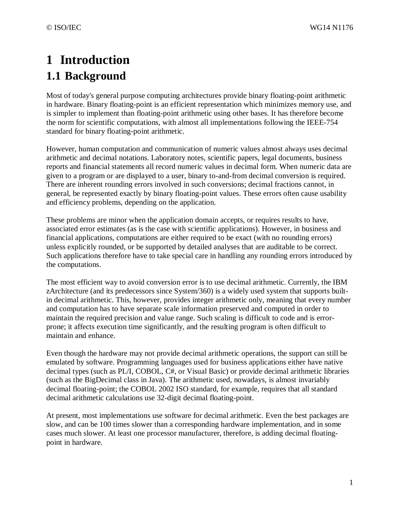# **1 Introduction 1.1 Background**

Most of today's general purpose computing architectures provide binary floating-point arithmetic in hardware. Binary floating-point is an efficient representation which minimizes memory use, and is simpler to implement than floating-point arithmetic using other bases. It has therefore become the norm for scientific computations, with almost all implementations following the IEEE-754 standard for binary floating-point arithmetic.

However, human computation and communication of numeric values almost always uses decimal arithmetic and decimal notations. Laboratory notes, scientific papers, legal documents, business reports and financial statements all record numeric values in decimal form. When numeric data are given to a program or are displayed to a user, binary to-and-from decimal conversion is required. There are inherent rounding errors involved in such conversions; decimal fractions cannot, in general, be represented exactly by binary floating-point values. These errors often cause usability and efficiency problems, depending on the application.

These problems are minor when the application domain accepts, or requires results to have, associated error estimates (as is the case with scientific applications). However, in business and financial applications, computations are either required to be exact (with no rounding errors) unless explicitly rounded, or be supported by detailed analyses that are auditable to be correct. Such applications therefore have to take special care in handling any rounding errors introduced by the computations.

The most efficient way to avoid conversion error is to use decimal arithmetic. Currently, the IBM zArchitecture (and its predecessors since System/360) is a widely used system that supports builtin decimal arithmetic. This, however, provides integer arithmetic only, meaning that every number and computation has to have separate scale information preserved and computed in order to maintain the required precision and value range. Such scaling is difficult to code and is errorprone; it affects execution time significantly, and the resulting program is often difficult to maintain and enhance.

Even though the hardware may not provide decimal arithmetic operations, the support can still be emulated by software. Programming languages used for business applications either have native decimal types (such as PL/I, COBOL, C#, or Visual Basic) or provide decimal arithmetic libraries (such as the BigDecimal class in Java). The arithmetic used, nowadays, is almost invariably decimal floating-point; the COBOL 2002 ISO standard, for example, requires that all standard decimal arithmetic calculations use 32-digit decimal floating-point.

At present, most implementations use software for decimal arithmetic. Even the best packages are slow, and can be 100 times slower than a corresponding hardware implementation, and in some cases much slower. At least one processor manufacturer, therefore, is adding decimal floatingpoint in hardware.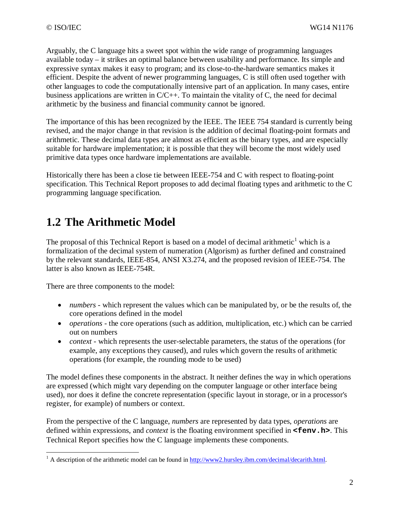Arguably, the C language hits a sweet spot within the wide range of programming languages available today – it strikes an optimal balance between usability and performance. Its simple and expressive syntax makes it easy to program; and its close-to-the-hardware semantics makes it efficient. Despite the advent of newer programming languages, C is still often used together with other languages to code the computationally intensive part of an application. In many cases, entire business applications are written in C/C++. To maintain the vitality of C, the need for decimal arithmetic by the business and financial community cannot be ignored.

The importance of this has been recognized by the IEEE. The IEEE 754 standard is currently being revised, and the major change in that revision is the addition of decimal floating-point formats and arithmetic. These decimal data types are almost as efficient as the binary types, and are especially suitable for hardware implementation; it is possible that they will become the most widely used primitive data types once hardware implementations are available.

Historically there has been a close tie between IEEE-754 and C with respect to floating-point specification. This Technical Report proposes to add decimal floating types and arithmetic to the C programming language specification.

## **1.2 The Arithmetic Model**

The proposal of this Technical Report is based on a model of decimal arithmetic<sup>1</sup> which is a formalization of the decimal system of numeration (Algorism) as further defined and constrained by the relevant standards, IEEE-854, ANSI X3.274, and the proposed revision of IEEE-754. The latter is also known as IEEE-754R.

There are three components to the model:

- *numbers* which represent the values which can be manipulated by, or be the results of, the core operations defined in the model
- *operations* the core operations (such as addition, multiplication, etc.) which can be carried out on numbers
- *context* which represents the user-selectable parameters, the status of the operations (for example, any exceptions they caused), and rules which govern the results of arithmetic operations (for example, the rounding mode to be used)

The model defines these components in the abstract. It neither defines the way in which operations are expressed (which might vary depending on the computer language or other interface being used), nor does it define the concrete representation (specific layout in storage, or in a processor's register, for example) of numbers or context.

From the perspective of the C language, *numbers* are represented by data types, *operations* are defined within expressions, and *context* is the floating environment specified in **<fenv.h>**. This Technical Report specifies how the C language implements these components.

<sup>&</sup>lt;sup>1</sup> A description of the arithmetic model can be found in http://www2.hursley.ibm.com/decimal/decarith.html.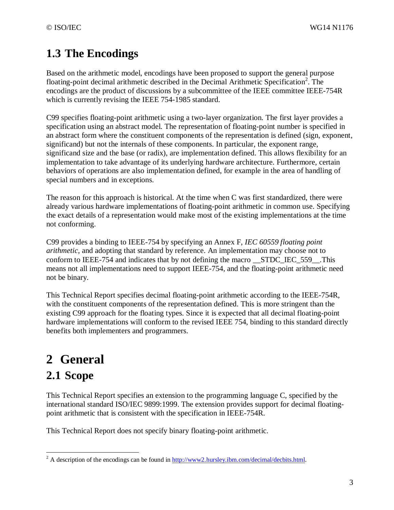# **1.3 The Encodings**

Based on the arithmetic model, encodings have been proposed to support the general purpose floating-point decimal arithmetic described in the Decimal Arithmetic Specification<sup>2</sup>. The encodings are the product of discussions by a subcommittee of the IEEE committee IEEE-754R which is currently revising the IEEE 754-1985 standard.

C99 specifies floating-point arithmetic using a two-layer organization. The first layer provides a specification using an abstract model. The representation of floating-point number is specified in an abstract form where the constituent components of the representation is defined (sign, exponent, significand) but not the internals of these components. In particular, the exponent range, significand size and the base (or radix), are implementation defined. This allows flexibility for an implementation to take advantage of its underlying hardware architecture. Furthermore, certain behaviors of operations are also implementation defined, for example in the area of handling of special numbers and in exceptions.

The reason for this approach is historical. At the time when C was first standardized, there were already various hardware implementations of floating-point arithmetic in common use. Specifying the exact details of a representation would make most of the existing implementations at the time not conforming.

C99 provides a binding to IEEE-754 by specifying an Annex F, *IEC 60559 floating point arithmetic*, and adopting that standard by reference. An implementation may choose not to conform to IEEE-754 and indicates that by not defining the macro \_\_STDC\_IEC\_559\_\_.This means not all implementations need to support IEEE-754, and the floating-point arithmetic need not be binary.

This Technical Report specifies decimal floating-point arithmetic according to the IEEE-754R, with the constituent components of the representation defined. This is more stringent than the existing C99 approach for the floating types. Since it is expected that all decimal floating-point hardware implementations will conform to the revised IEEE 754, binding to this standard directly benefits both implementers and programmers.

# **2 General**

# **2.1 Scope**

This Technical Report specifies an extension to the programming language C, specified by the international standard ISO/IEC 9899:1999. The extension provides support for decimal floatingpoint arithmetic that is consistent with the specification in IEEE-754R.

This Technical Report does not specify binary floating-point arithmetic.

<sup>&</sup>lt;u>.</u> <sup>2</sup> A description of the encodings can be found in  $\frac{http://www2.hursley.ibm.com/decimal/decbits.html.$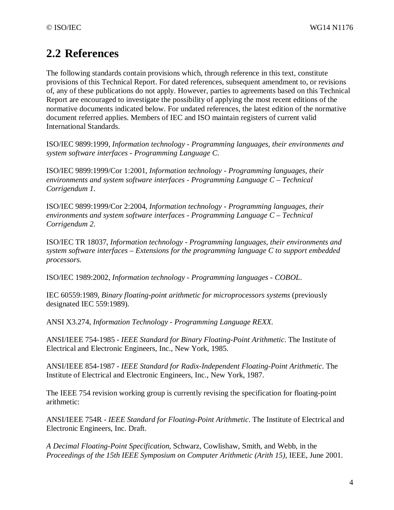# **2.2 References**

The following standards contain provisions which, through reference in this text, constitute provisions of this Technical Report. For dated references, subsequent amendment to, or revisions of, any of these publications do not apply. However, parties to agreements based on this Technical Report are encouraged to investigate the possibility of applying the most recent editions of the normative documents indicated below. For undated references, the latest edition of the normative document referred applies. Members of IEC and ISO maintain registers of current valid International Standards.

ISO/IEC 9899:1999, *Information technology - Programming languages, their environments and system software interfaces - Programming Language C*.

ISO/IEC 9899:1999/Cor 1:2001, *Information technology - Programming languages, their environments and system software interfaces - Programming Language C – Technical Corrigendum 1*.

ISO/IEC 9899:1999/Cor 2:2004, *Information technology - Programming languages, their environments and system software interfaces - Programming Language C – Technical Corrigendum 2*.

ISO/IEC TR 18037, *Information technology - Programming languages, their environments and system software interfaces – Extensions for the programming language C to support embedded processors.*

ISO/IEC 1989:2002, *Information technology - Programming languages - COBOL*.

IEC 60559:1989, *Binary floating-point arithmetic for microprocessors systems* (previously designated IEC 559:1989).

ANSI X3.274, *Information Technology - Programming Language REXX.*

ANSI/IEEE 754-1985 - *IEEE Standard for Binary Floating-Point Arithmetic*. The Institute of Electrical and Electronic Engineers, Inc., New York, 1985.

ANSI/IEEE 854-1987 - *IEEE Standard for Radix-Independent Floating-Point Arithmetic*. The Institute of Electrical and Electronic Engineers, Inc., New York, 1987.

The IEEE 754 revision working group is currently revising the specification for floating-point arithmetic:

ANSI/IEEE 754R - *IEEE Standard for Floating-Point Arithmetic*. The Institute of Electrical and Electronic Engineers, Inc. Draft.

*A Decimal Floating-Point Specification*, Schwarz, Cowlishaw, Smith, and Webb, in the *Proceedings of the 15th IEEE Symposium on Computer Arithmetic (Arith 15),* IEEE, June 2001.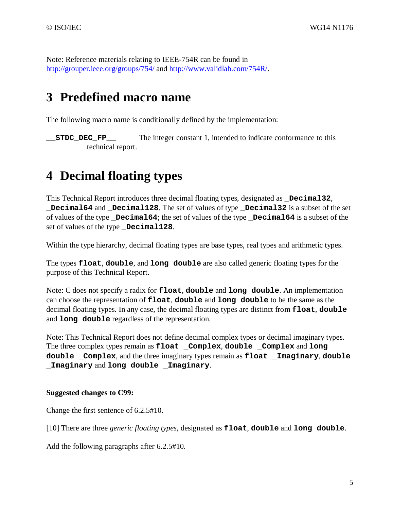Note: Reference materials relating to IEEE-754R can be found in http://grouper.ieee.org/groups/754/ and http://www.validlab.com/754R/.

# **3 Predefined macro name**

The following macro name is conditionally defined by the implementation:

**STDC** DEC FP The integer constant 1, intended to indicate conformance to this technical report.

# **4 Decimal floating types**

This Technical Report introduces three decimal floating types, designated as **\_Decimal32**, **\_Decimal64** and **\_Decimal128**. The set of values of type **\_Decimal32** is a subset of the set of values of the type **Decimal64**; the set of values of the type **Decimal64** is a subset of the set of values of the type **Decimal128**.

Within the type hierarchy, decimal floating types are base types, real types and arithmetic types.

The types **float**, **double**, and **long double** are also called generic floating types for the purpose of this Technical Report.

Note: C does not specify a radix for **float**, **double** and **long double**. An implementation can choose the representation of **float**, **double** and **long double** to be the same as the decimal floating types. In any case, the decimal floating types are distinct from **float**, **double** and **long double** regardless of the representation.

Note: This Technical Report does not define decimal complex types or decimal imaginary types. The three complex types remain as **float \_Complex**, **double \_Complex** and **long double \_Complex**, and the three imaginary types remain as **float \_Imaginary**, **double \_Imaginary** and **long double \_Imaginary**.

#### **Suggested changes to C99:**

Change the first sentence of 6.2.5#10.

[10] There are three *generic floating types*, designated as **float**, **double** and **long double**.

Add the following paragraphs after 6.2.5#10.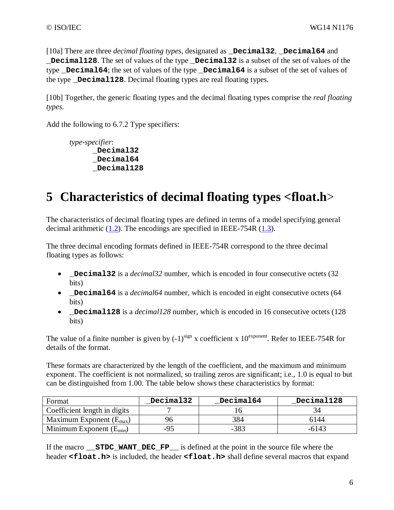[10a] There are three *decimal floating types*, designated as **\_Decimal32**, **\_Decimal64** and **\_Decimal128**. The set of values of the type **\_Decimal32** is a subset of the set of values of the type **\_Decimal64**; the set of values of the type **\_Decimal64** is a subset of the set of values of the type **Decimal128**. Decimal floating types are real floating types.

[10b] Together, the generic floating types and the decimal floating types comprise the *real floating types*.

Add the following to 6.7.2 Type specifiers:

*type-specifier*: **\_Decimal32 \_Decimal64 \_Decimal128** 

# **5 Characteristics of decimal floating types <float.h**>

The characteristics of decimal floating types are defined in terms of a model specifying general decimal arithmetic (1.2). The encodings are specified in IEEE-754R (1.3).

The three decimal encoding formats defined in IEEE-754R correspond to the three decimal floating types as follows:

- **Decimal32** is a *decimal32* number, which is encoded in four consecutive octets (32) bits)
- **Decimal64** is a *decimal64* number, which is encoded in eight consecutive octets (64 bits)
- **\_Decimal128** is a *decimal128* number, which is encoded in 16 consecutive octets (128) bits)

The value of a finite number is given by  $(-1)^{sign}$  x coefficient x  $10^{exponent}$ . Refer to IEEE-754R for details of the format.

These formats are characterized by the length of the coefficient, and the maximum and minimum exponent. The coefficient is not normalized, so trailing zeros are significant; i.e., 1.0 is equal to but can be distinguished from 1.00. The table below shows these characteristics by format:

| Format                              | Decimal32 | Decimal64 | Decimal128 |
|-------------------------------------|-----------|-----------|------------|
| Coefficient length in digits        |           |           |            |
| Maximum Exponent $(E_{\text{max}})$ |           | 384       | 6144       |
| Minimum Exponent $(E_{min})$        | -95       | $-383$    | $-6143$    |

If the macro **STDC WANT DEC FP** is defined at the point in the source file where the header **<float.h>** is included, the header **<float.h>** shall define several macros that expand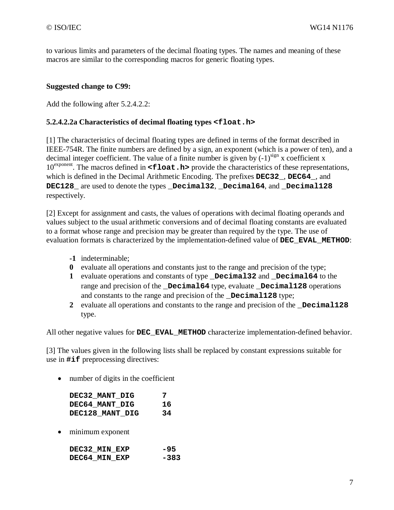to various limits and parameters of the decimal floating types. The names and meaning of these macros are similar to the corresponding macros for generic floating types.

#### **Suggested change to C99:**

Add the following after 5.2.4.2.2:

#### **5.2.4.2.2a Characteristics of decimal floating types <float.h>**

[1] The characteristics of decimal floating types are defined in terms of the format described in IEEE-754R. The finite numbers are defined by a sign, an exponent (which is a power of ten), and a decimal integer coefficient. The value of a finite number is given by  $(-1)^{sign}$  x coefficient x 10<sup>exponent</sup>. The macros defined in **<float.h>** provide the characteristics of these representations, which is defined in the Decimal Arithmetic Encoding. The prefixes **DEC32\_**, **DEC64\_**, and **DEC128\_** are used to denote the types **\_Decimal32**, **\_Decimal64**, and **\_Decimal128** respectively.

[2] Except for assignment and casts, the values of operations with decimal floating operands and values subject to the usual arithmetic conversions and of decimal floating constants are evaluated to a format whose range and precision may be greater than required by the type. The use of evaluation formats is characterized by the implementation-defined value of **DEC\_EVAL\_METHOD**:

- **-1** indeterminable;
- **0** evaluate all operations and constants just to the range and precision of the type;
- **1** evaluate operations and constants of type **\_Decimal32** and **\_Decimal64** to the range and precision of the **\_Decimal64** type, evaluate **\_Decimal128** operations and constants to the range and precision of the **Decimal128** type;
- **2** evaluate all operations and constants to the range and precision of the **\_Decimal128** type.

All other negative values for **DEC\_EVAL\_METHOD** characterize implementation-defined behavior.

[3] The values given in the following lists shall be replaced by constant expressions suitable for use in **#if** preprocessing directives:

• number of digits in the coefficient

| DEC32 MANT DIG  | 7  |
|-----------------|----|
| DEC64 MANT DIG  | 16 |
| DEC128 MANT DIG | 34 |

• minimum exponent

| DEC32 MIN EXP |  | -95    |
|---------------|--|--------|
| DEC64 MIN EXP |  | $-383$ |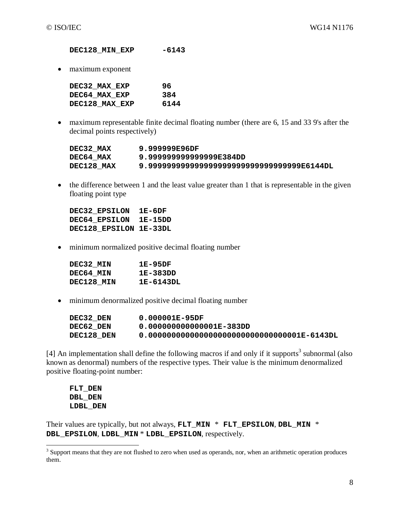**DEC128\_MIN\_EXP -6143**

• maximum exponent

| DEC32 MAX EXP        | 96   |
|----------------------|------|
| <b>DEC64 MAX EXP</b> | 384  |
| DEC128 MAX EXP       | 6144 |

• maximum representable finite decimal floating number (there are 6, 15 and 33 9's after the decimal points respectively)

| DEC32 MAX  | 9.999999E96DF                          |
|------------|----------------------------------------|
| DEC64 MAX  | 9.999999999999999E384DD                |
| DEC128 MAX | 9.9999909999999999999999999999986144DL |

• the difference between 1 and the least value greater than 1 that is representable in the given floating point type

**DEC32\_EPSILON 1E-6DF DEC64\_EPSILON 1E-15DD DEC128\_EPSILON 1E-33DL**

• minimum normalized positive decimal floating number

| 1E-95DF   |
|-----------|
| 1E-383DD  |
| 1E-6143DL |
|           |

• minimum denormalized positive decimal floating number

| DEC32 DEN  | 0.000001E-95DF                                 |
|------------|------------------------------------------------|
| DEC62 DEN  | 0.000000000000001E-383DD                       |
| DEC128 DEN | $0.000000000000000000000000000000001E-6143D L$ |

[4] An implementation shall define the following macros if and only if it supports<sup>3</sup> subnormal (also known as denormal) numbers of the respective types. Their value is the minimum denormalized positive floating-point number:

**FLT\_DEN DBL\_DEN LDBL\_DEN**

Their values are typically, but not always, **FLT\_MIN** \* **FLT\_EPSILON**, **DBL\_MIN** \* **DBL\_EPSILON**, **LDBL\_MIN** \* **LDBL\_EPSILON**, respectively.

<sup>&</sup>lt;sup>3</sup> Support means that they are not flushed to zero when used as operands, nor, when an arithmetic operation produces them.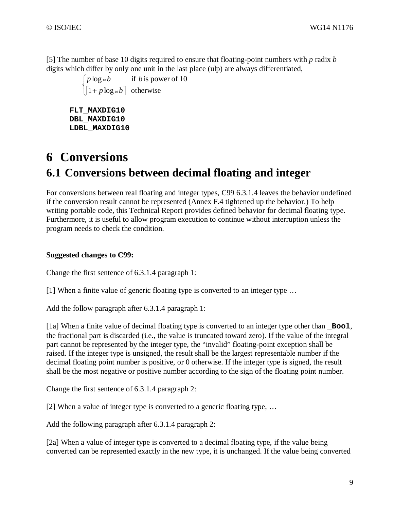[5] The number of base 10 digits required to ensure that floating-point numbers with *p* radix *b* digits which differ by only one unit in the last place (ulp) are always differentiated,

> $\left[\begin{matrix} 1+p\log_{10}b\end{matrix}\right]$  $\int$  $\left[1+p\log_{10}b\right]$  otherwise  $\log_{10} b$  if *b* is power of 10 10 10  $p \log_{{}^{10}} b$  $p \log_{10} b$  if *b*

**FLT\_MAXDIG10 DBL\_MAXDIG10 LDBL\_MAXDIG10**

# **6 Conversions 6.1 Conversions between decimal floating and integer**

For conversions between real floating and integer types, C99 6.3.1.4 leaves the behavior undefined if the conversion result cannot be represented (Annex F.4 tightened up the behavior.) To help writing portable code, this Technical Report provides defined behavior for decimal floating type. Furthermore, it is useful to allow program execution to continue without interruption unless the program needs to check the condition.

#### **Suggested changes to C99:**

Change the first sentence of 6.3.1.4 paragraph 1:

[1] When a finite value of generic floating type is converted to an integer type …

Add the follow paragraph after 6.3.1.4 paragraph 1:

[1a] When a finite value of decimal floating type is converted to an integer type other than **\_Bool**, the fractional part is discarded (i.e., the value is truncated toward zero). If the value of the integral part cannot be represented by the integer type, the "invalid" floating-point exception shall be raised. If the integer type is unsigned, the result shall be the largest representable number if the decimal floating point number is positive, or 0 otherwise. If the integer type is signed, the result shall be the most negative or positive number according to the sign of the floating point number.

Change the first sentence of 6.3.1.4 paragraph 2:

[2] When a value of integer type is converted to a generic floating type, …

Add the following paragraph after 6.3.1.4 paragraph 2:

[2a] When a value of integer type is converted to a decimal floating type, if the value being converted can be represented exactly in the new type, it is unchanged. If the value being converted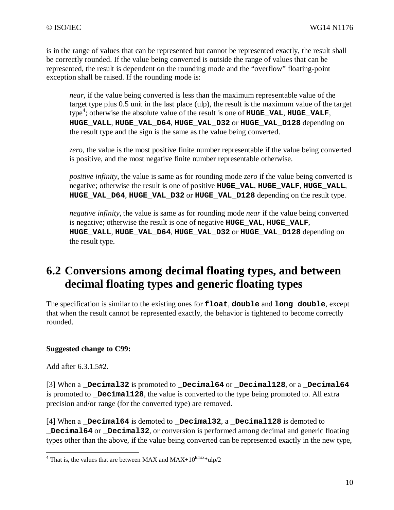is in the range of values that can be represented but cannot be represented exactly, the result shall be correctly rounded. If the value being converted is outside the range of values that can be represented, the result is dependent on the rounding mode and the "overflow" floating-point exception shall be raised. If the rounding mode is:

*near*, if the value being converted is less than the maximum representable value of the target type plus 0.5 unit in the last place (ulp), the result is the maximum value of the target type<sup>4</sup>; otherwise the absolute value of the result is one of **HUGE\_VAL**, **HUGE\_VALF**, **HUGE\_VALL**, **HUGE\_VAL\_D64**, **HUGE\_VAL\_D32** or **HUGE\_VAL\_D128** depending on the result type and the sign is the same as the value being converted.

*zero*, the value is the most positive finite number representable if the value being converted is positive, and the most negative finite number representable otherwise.

*positive infinity*, the value is same as for rounding mode *zero* if the value being converted is negative; otherwise the result is one of positive **HUGE\_VAL**, **HUGE\_VALF**, **HUGE\_VALL**, **HUGE\_VAL\_D64**, **HUGE\_VAL\_D32** or **HUGE\_VAL\_D128** depending on the result type.

*negative infinity*, the value is same as for rounding mode *near* if the value being converted is negative; otherwise the result is one of negative **HUGE\_VAL**, **HUGE\_VALF**, **HUGE\_VALL**, **HUGE\_VAL\_D64**, **HUGE\_VAL\_D32** or **HUGE\_VAL\_D128** depending on the result type.

## **6.2 Conversions among decimal floating types, and between decimal floating types and generic floating types**

The specification is similar to the existing ones for **float**, **double** and **long double**, except that when the result cannot be represented exactly, the behavior is tightened to become correctly rounded.

#### **Suggested change to C99:**

Add after 6.3.1.5#2.

[3] When a **\_Decimal32** is promoted to **\_Decimal64** or **\_Decimal128**, or a **\_Decimal64** is promoted to **Decimal128**, the value is converted to the type being promoted to. All extra precision and/or range (for the converted type) are removed.

[4] When a **\_Decimal64** is demoted to **\_Decimal32**, a **\_Decimal128** is demoted to **\_Decimal64** or **\_Decimal32**, or conversion is performed among decimal and generic floating types other than the above, if the value being converted can be represented exactly in the new type,

That is, the values that are between MAX and MAX+ $10^{\text{Emax}}$ \*ulp/2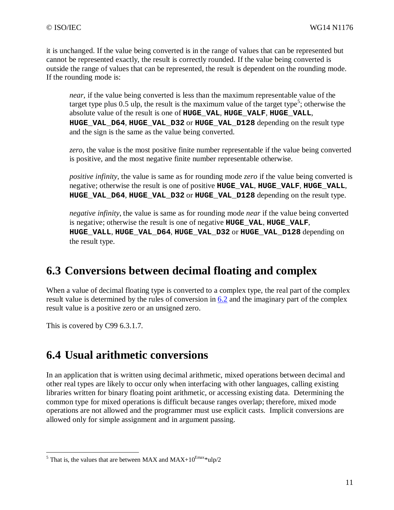it is unchanged. If the value being converted is in the range of values that can be represented but cannot be represented exactly, the result is correctly rounded. If the value being converted is outside the range of values that can be represented, the result is dependent on the rounding mode. If the rounding mode is:

*near*, if the value being converted is less than the maximum representable value of the target type plus 0.5 ulp, the result is the maximum value of the target type<sup>5</sup>; otherwise the absolute value of the result is one of **HUGE\_VAL**, **HUGE\_VALF**, **HUGE\_VALL**, **HUGE\_VAL\_D64**, **HUGE\_VAL\_D32** or **HUGE\_VAL\_D128** depending on the result type and the sign is the same as the value being converted.

*zero*, the value is the most positive finite number representable if the value being converted is positive, and the most negative finite number representable otherwise.

*positive infinity*, the value is same as for rounding mode *zero* if the value being converted is negative; otherwise the result is one of positive **HUGE\_VAL**, **HUGE\_VALF**, **HUGE\_VALL**, **HUGE\_VAL\_D64**, **HUGE\_VAL\_D32** or **HUGE\_VAL\_D128** depending on the result type.

*negative infinity*, the value is same as for rounding mode *near* if the value being converted is negative; otherwise the result is one of negative **HUGE\_VAL**, **HUGE\_VALF**, **HUGE\_VALL**, **HUGE\_VAL\_D64**, **HUGE\_VAL\_D32** or **HUGE\_VAL\_D128** depending on the result type.

### **6.3 Conversions between decimal floating and complex**

When a value of decimal floating type is converted to a complex type, the real part of the complex result value is determined by the rules of conversion in 6.2 and the imaginary part of the complex result value is a positive zero or an unsigned zero.

This is covered by C99 6.3.1.7.

### **6.4 Usual arithmetic conversions**

In an application that is written using decimal arithmetic, mixed operations between decimal and other real types are likely to occur only when interfacing with other languages, calling existing libraries written for binary floating point arithmetic, or accessing existing data. Determining the common type for mixed operations is difficult because ranges overlap; therefore, mixed mode operations are not allowed and the programmer must use explicit casts. Implicit conversions are allowed only for simple assignment and in argument passing.

<sup>&</sup>lt;sup>5</sup> That is, the values that are between MAX and MAX+10<sup>Emax\*</sup>ulp/2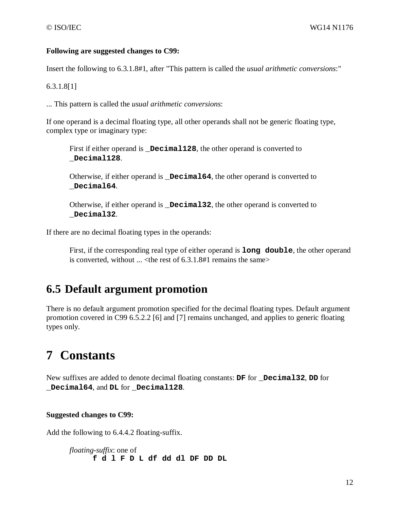#### **Following are suggested changes to C99:**

Insert the following to 6.3.1.8#1, after "This pattern is called the *usual arithmetic conversions*:"

6.3.1.8[1]

... This pattern is called the *usual arithmetic conversions*:

If one operand is a decimal floating type, all other operands shall not be generic floating type, complex type or imaginary type:

First if either operand is **\_Decimal128**, the other operand is converted to **\_Decimal128**.

Otherwise, if either operand is **\_Decimal64**, the other operand is converted to **\_Decimal64**.

Otherwise, if either operand is **\_Decimal32**, the other operand is converted to **\_Decimal32**.

If there are no decimal floating types in the operands:

First, if the corresponding real type of either operand is **long double**, the other operand is converted, without  $\ldots$  < the rest of 6.3.1.8#1 remains the same >

### **6.5 Default argument promotion**

There is no default argument promotion specified for the decimal floating types. Default argument promotion covered in C99 6.5.2.2 [6] and [7] remains unchanged, and applies to generic floating types only.

# **7 Constants**

New suffixes are added to denote decimal floating constants: **DF** for **\_Decimal32**, **DD** for **\_Decimal64**, and **DL** for **\_Decimal128**.

#### **Suggested changes to C99:**

Add the following to 6.4.4.2 floating-suffix.

*floating-suffix*: one of **f d l F D L df dd dl DF DD DL**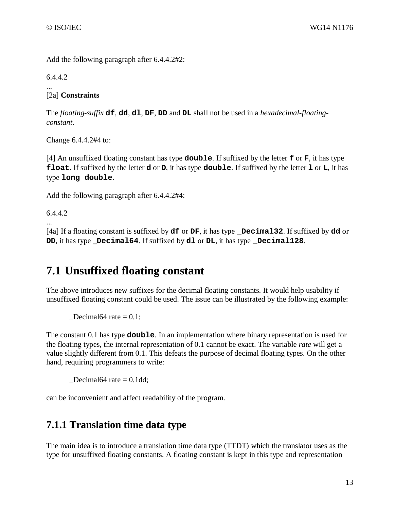Add the following paragraph after 6.4.4.2#2:

6.4.4.2

... [2a] **Constraints**

The *floating-suffix* **df**, **dd**, **dl**, **DF**, **DD** and **DL** shall not be used in a *hexadecimal-floatingconstant*.

Change 6.4.4.2#4 to:

[4] An unsuffixed floating constant has type **double**. If suffixed by the letter **f** or **F**, it has type **float**. If suffixed by the letter **d** or **D**, it has type **double**. If suffixed by the letter **l** or **L**, it has type **long double**.

Add the following paragraph after 6.4.4.2#4:

6.4.4.2

... [4a] If a floating constant is suffixed by **df** or **DF**, it has type **\_Decimal32**. If suffixed by **dd** or **DD**, it has type **\_Decimal64**. If suffixed by **dl** or **DL**, it has type **\_Decimal128**.

### **7.1 Unsuffixed floating constant**

The above introduces new suffixes for the decimal floating constants. It would help usability if unsuffixed floating constant could be used. The issue can be illustrated by the following example:

Decimal64 rate  $= 0.1$ ;

The constant 0.1 has type **double**. In an implementation where binary representation is used for the floating types, the internal representation of 0.1 cannot be exact. The variable *rate* will get a value slightly different from 0.1. This defeats the purpose of decimal floating types. On the other hand, requiring programmers to write:

Decimal64 rate  $= 0.1$ dd;

can be inconvenient and affect readability of the program.

### **7.1.1 Translation time data type**

The main idea is to introduce a translation time data type (TTDT) which the translator uses as the type for unsuffixed floating constants. A floating constant is kept in this type and representation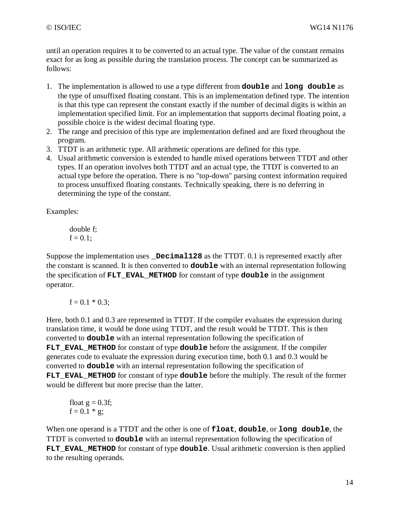until an operation requires it to be converted to an actual type. The value of the constant remains exact for as long as possible during the translation process. The concept can be summarized as follows:

- 1. The implementation is allowed to use a type different from **double** and **long double** as the type of unsuffixed floating constant. This is an implementation defined type. The intention is that this type can represent the constant exactly if the number of decimal digits is within an implementation specified limit. For an implementation that supports decimal floating point, a possible choice is the widest decimal floating type.
- 2. The range and precision of this type are implementation defined and are fixed throughout the program.
- 3. TTDT is an arithmetic type. All arithmetic operations are defined for this type.
- 4. Usual arithmetic conversion is extended to handle mixed operations between TTDT and other types. If an operation involves both TTDT and an actual type, the TTDT is converted to an actual type before the operation. There is no "top-down" parsing context information required to process unsuffixed floating constants. Technically speaking, there is no deferring in determining the type of the constant.

Examples:

double f;  

$$
f = 0.1
$$
;

Suppose the implementation uses **Decimal128** as the TTDT. 0.1 is represented exactly after the constant is scanned. It is then converted to **double** with an internal representation following the specification of **FLT\_EVAL\_METHOD** for constant of type **double** in the assignment operator.

$$
f = 0.1 * 0.3;
$$

Here, both 0.1 and 0.3 are represented in TTDT. If the compiler evaluates the expression during translation time, it would be done using TTDT, and the result would be TTDT. This is then converted to **double** with an internal representation following the specification of **FLT\_EVAL\_METHOD** for constant of type **double** before the assignment. If the compiler generates code to evaluate the expression during execution time, both 0.1 and 0.3 would be converted to **double** with an internal representation following the specification of **FLT\_EVAL\_METHOD** for constant of type **double** before the multiply. The result of the former would be different but more precise than the latter.

float 
$$
g = 0.3f
$$
;  
f = 0.1 \* g;

When one operand is a TTDT and the other is one of **float**, **double**, or **long double**, the TTDT is converted to **double** with an internal representation following the specification of FLT EVAL METHOD for constant of type **double**. Usual arithmetic conversion is then applied to the resulting operands.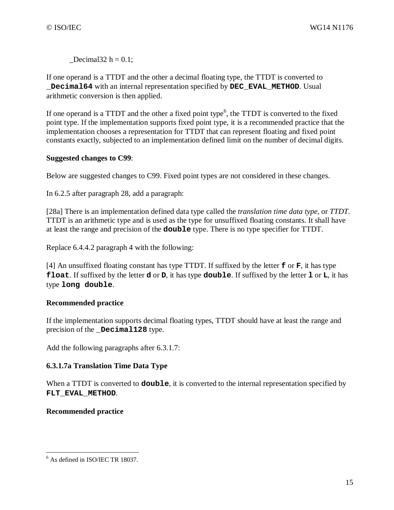$\text{Decimal32 h} = 0.1;$ 

If one operand is a TTDT and the other a decimal floating type, the TTDT is converted to **\_Decimal64** with an internal representation specified by **DEC\_EVAL\_METHOD**. Usual arithmetic conversion is then applied.

If one operand is a TTDT and the other a fixed point type<sup>6</sup>, the TTDT is converted to the fixed point type. If the implementation supports fixed point type, it is a recommended practice that the implementation chooses a representation for TTDT that can represent floating and fixed point constants exactly, subjected to an implementation defined limit on the number of decimal digits.

#### **Suggested changes to C99**:

Below are suggested changes to C99. Fixed point types are not considered in these changes.

In 6.2.5 after paragraph 28, add a paragraph:

[28a] There is an implementation defined data type called the *translation time data type*, or *TTDT*. TTDT is an arithmetic type and is used as the type for unsuffixed floating constants. It shall have at least the range and precision of the **double** type. There is no type specifier for TTDT.

Replace 6.4.4.2 paragraph 4 with the following:

[4] An unsuffixed floating constant has type TTDT. If suffixed by the letter **f** or **F**, it has type **float**. If suffixed by the letter **d** or **D**, it has type **double**. If suffixed by the letter **l** or **L**, it has type **long double**.

#### **Recommended practice**

If the implementation supports decimal floating types, TTDT should have at least the range and precision of the **\_Decimal128** type.

Add the following paragraphs after 6.3.1.7:

#### **6.3.1.7a Translation Time Data Type**

When a TTDT is converted to **double**, it is converted to the internal representation specified by **FLT\_EVAL\_METHOD**.

#### **Recommended practice**

 6 As defined in ISO/IEC TR 18037.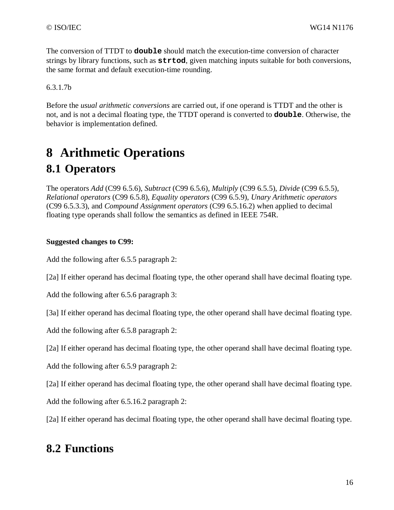The conversion of TTDT to **double** should match the execution-time conversion of character strings by library functions, such as **strtod**, given matching inputs suitable for both conversions, the same format and default execution-time rounding.

6.3.1.7b

Before the *usual arithmetic conversions* are carried out, if one operand is TTDT and the other is not, and is not a decimal floating type, the TTDT operand is converted to **double**. Otherwise, the behavior is implementation defined.

# **8 Arithmetic Operations 8.1 Operators**

The operators *Add* (C99 6.5.6), *Subtract* (C99 6.5.6), *Multiply* (C99 6.5.5), *Divide* (C99 6.5.5), *Relational operators* (C99 6.5.8), *Equality operators* (C99 6.5.9), *Unary Arithmetic operators* (C99 6.5.3.3), and *Compound Assignment operators* (C99 6.5.16.2) when applied to decimal floating type operands shall follow the semantics as defined in IEEE 754R.

#### **Suggested changes to C99:**

Add the following after 6.5.5 paragraph 2:

[2a] If either operand has decimal floating type, the other operand shall have decimal floating type.

Add the following after 6.5.6 paragraph 3:

[3a] If either operand has decimal floating type, the other operand shall have decimal floating type.

Add the following after 6.5.8 paragraph 2:

[2a] If either operand has decimal floating type, the other operand shall have decimal floating type.

Add the following after 6.5.9 paragraph 2:

[2a] If either operand has decimal floating type, the other operand shall have decimal floating type.

Add the following after 6.5.16.2 paragraph 2:

[2a] If either operand has decimal floating type, the other operand shall have decimal floating type.

### **8.2 Functions**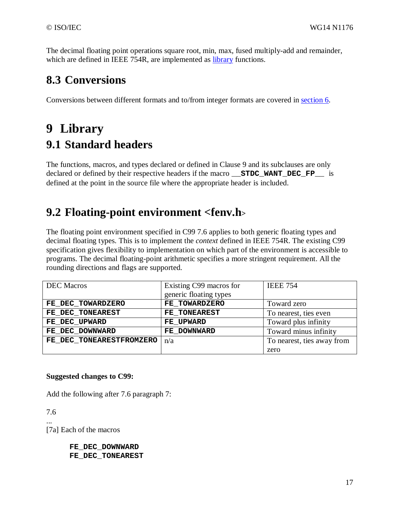The decimal floating point operations square root, min, max, fused multiply-add and remainder, which are defined in IEEE 754R, are implemented as library functions.

### **8.3 Conversions**

Conversions between different formats and to/from integer formats are covered in section 6.

# **9 Library 9.1 Standard headers**

The functions, macros, and types declared or defined in Clause 9 and its subclauses are only declared or defined by their respective headers if the macro **\_\_STDC\_WANT\_DEC\_FP\_\_** is defined at the point in the source file where the appropriate header is included.

## **9.2 Floating-point environment <fenv.h<sup>&</sup>gt;**

The floating point environment specified in C99 7.6 applies to both generic floating types and decimal floating types. This is to implement the *context* defined in IEEE 754R. The existing C99 specification gives flexibility to implementation on which part of the environment is accessible to programs. The decimal floating-point arithmetic specifies a more stringent requirement. All the rounding directions and flags are supported.

| <b>DEC</b> Macros        | Existing C99 macros for | <b>IEEE 754</b>            |
|--------------------------|-------------------------|----------------------------|
|                          | generic floating types  |                            |
| FE DEC TOWARDZERO        | FE TOWARDZERO           | Toward zero                |
| FE DEC TONEAREST         | FE TONEAREST            | To nearest, ties even      |
| FE_DEC_UPWARD            | FE UPWARD               | Toward plus infinity       |
| FE DEC DOWNWARD          | FE DOWNWARD             | Toward minus infinity      |
| FE DEC TONEARESTFROMZERO | n/a                     | To nearest, ties away from |
|                          |                         | zero                       |

#### **Suggested changes to C99:**

Add the following after 7.6 paragraph 7:

7.6 ...

[7a] Each of the macros

**FE\_DEC\_DOWNWARD FE\_DEC\_TONEAREST**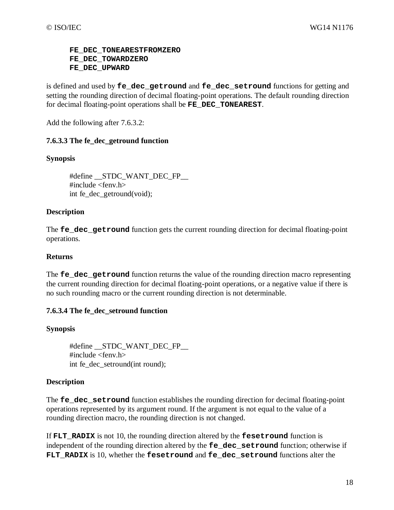#### **FE\_DEC\_TONEARESTFROMZERO FE\_DEC\_TOWARDZERO FE\_DEC\_UPWARD**

is defined and used by **fe\_dec\_getround** and **fe\_dec\_setround** functions for getting and setting the rounding direction of decimal floating-point operations. The default rounding direction for decimal floating-point operations shall be **FE\_DEC\_TONEAREST**.

Add the following after 7.6.3.2:

#### **7.6.3.3 The fe\_dec\_getround function**

#### **Synopsis**

#define \_\_STDC\_WANT\_DEC\_FP\_\_ #include <fenv.h> int fe\_dec\_getround(void);

#### **Description**

The **fe\_dec\_getround** function gets the current rounding direction for decimal floating-point operations.

#### **Returns**

The **fe** dec getround function returns the value of the rounding direction macro representing the current rounding direction for decimal floating-point operations, or a negative value if there is no such rounding macro or the current rounding direction is not determinable.

#### **7.6.3.4 The fe\_dec\_setround function**

#### **Synopsis**

#define \_\_STDC\_WANT\_DEC\_FP\_\_ #include <fenv.h> int fe\_dec\_setround(int round);

#### **Description**

The **fe\_dec\_setround** function establishes the rounding direction for decimal floating-point operations represented by its argument round. If the argument is not equal to the value of a rounding direction macro, the rounding direction is not changed.

If **FLT** RADIX is not 10, the rounding direction altered by the **fesetround** function is independent of the rounding direction altered by the **fe\_dec\_setround** function; otherwise if FLT RADIX is 10, whether the **fesetround** and **fe** dec setround functions alter the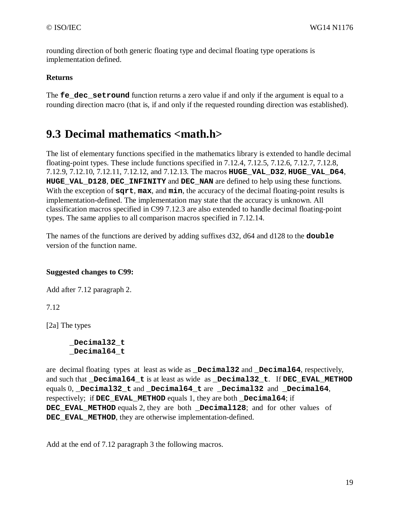rounding direction of both generic floating type and decimal floating type operations is implementation defined.

#### **Returns**

The **fe\_dec\_setround** function returns a zero value if and only if the argument is equal to a rounding direction macro (that is, if and only if the requested rounding direction was established).

### **9.3 Decimal mathematics <math.h>**

The list of elementary functions specified in the mathematics library is extended to handle decimal floating-point types. These include functions specified in 7.12.4, 7.12.5, 7.12.6, 7.12.7, 7.12.8, 7.12.9, 7.12.10, 7.12.11, 7.12.12, and 7.12.13. The macros **HUGE\_VAL\_D32**, **HUGE\_VAL\_D64**, **HUGE\_VAL\_D128**, **DEC\_INFINITY** and **DEC\_NAN** are defined to help using these functions. With the exception of **sqrt**, **max**, and **min**, the accuracy of the decimal floating-point results is implementation-defined. The implementation may state that the accuracy is unknown. All classification macros specified in C99 7.12.3 are also extended to handle decimal floating-point types. The same applies to all comparison macros specified in 7.12.14.

The names of the functions are derived by adding suffixes d32, d64 and d128 to the **double** version of the function name.

#### **Suggested changes to C99:**

Add after 7.12 paragraph 2.

7.12

[2a] The types

**\_Decimal32\_t \_Decimal64\_t** 

are decimal floating types at least as wide as **\_Decimal32** and **\_Decimal64**, respectively, and such that **\_Decimal64\_t** is at least as wide as **\_Decimal32\_t**. If **DEC\_EVAL\_METHOD** equals 0, **\_Decimal32\_t** and **\_Decimal64\_t** are **\_Decimal32** and **\_Decimal64**, respectively; if **DEC\_EVAL\_METHOD** equals 1, they are both **\_Decimal64**; if **DEC\_EVAL\_METHOD** equals 2, they are both **\_Decimal128**; and for other values of **DEC\_EVAL\_METHOD**, they are otherwise implementation-defined.

Add at the end of 7.12 paragraph 3 the following macros.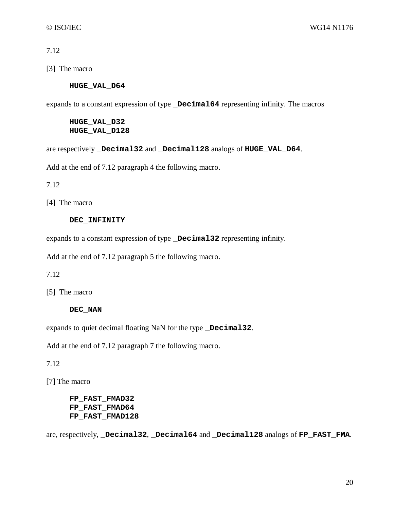7.12

[3] The macro

#### **HUGE\_VAL\_D64**

expands to a constant expression of type **\_Decimal64** representing infinity. The macros

**HUGE\_VAL\_D32 HUGE\_VAL\_D128** 

are respectively **\_Decimal32** and **\_Decimal128** analogs of **HUGE\_VAL\_D64**.

Add at the end of 7.12 paragraph 4 the following macro.

7.12

[4] The macro

#### **DEC\_INFINITY**

expands to a constant expression of type **\_Decimal32** representing infinity.

Add at the end of 7.12 paragraph 5 the following macro.

7.12

[5] The macro

#### **DEC\_NAN**

expands to quiet decimal floating NaN for the type **\_Decimal32**.

Add at the end of 7.12 paragraph 7 the following macro.

7.12

[7] The macro

**FP\_FAST\_FMAD32 FP\_FAST\_FMAD64 FP\_FAST\_FMAD128** 

are, respectively, **\_Decimal32**, **\_Decimal64** and **\_Decimal128** analogs of **FP\_FAST\_FMA**.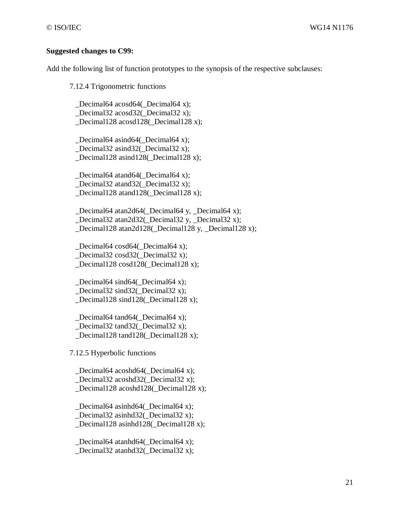#### **Suggested changes to C99:**

Add the following list of function prototypes to the synopsis of the respective subclauses:

7.12.4 Trigonometric functions

Decimal64 acosd64( Decimal64 x); \_Decimal32 acosd32(\_Decimal32 x); \_Decimal128 acosd128(\_Decimal128 x);

 \_Decimal64 asind64(\_Decimal64 x); \_Decimal32 asind32(\_Decimal32 x); Decimal128 asind128( Decimal128 x);

 \_Decimal64 atand64(\_Decimal64 x); \_Decimal32 atand32(\_Decimal32 x); Decimal128 atand128( Decimal128 x);

 \_Decimal64 atan2d64(\_Decimal64 y, \_Decimal64 x); \_Decimal32 atan2d32(\_Decimal32 y, \_Decimal32 x); \_Decimal128 atan2d128(\_Decimal128 y, \_Decimal128 x);

Decimal64 cosd64( Decimal64 x); \_Decimal32 cosd32(\_Decimal32 x); Decimal128 cosd128( Decimal128 x);

 \_Decimal64 sind64(\_Decimal64 x); Decimal32 sind32( $\Delta$ Decimal32 x); \_Decimal128 sind128(\_Decimal128 x);

Decimal64 tand64( Decimal64 x); \_Decimal32 tand32(\_Decimal32 x); Decimal128 tand128( Decimal128 x);

7.12.5 Hyperbolic functions

 \_Decimal64 acoshd64(\_Decimal64 x); Decimal32 acoshd32( Decimal32 x); \_Decimal128 acoshd128(\_Decimal128 x);

 \_Decimal64 asinhd64(\_Decimal64 x); \_Decimal32 asinhd32(\_Decimal32 x); \_Decimal128 asinhd128(\_Decimal128 x);

 \_Decimal64 atanhd64(\_Decimal64 x); Decimal32 atanhd32( Decimal32 x);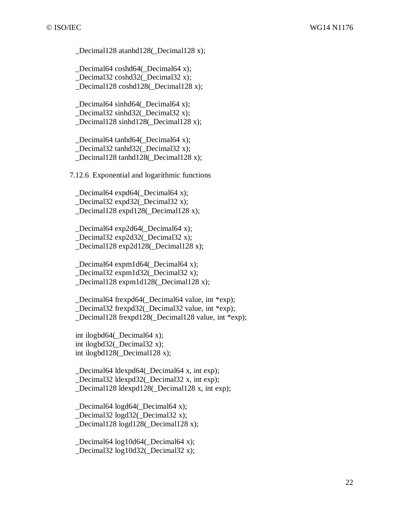Decimal128 atanhd128( Decimal128 x);

Decimal64 coshd64( Decimal64 x); \_Decimal32 coshd32(\_Decimal32 x); Decimal128 coshd128( Decimal128 x);

Decimal64 sinhd64( $\Delta$ Decimal64 x); \_Decimal32 sinhd32(\_Decimal32 x); \_Decimal128 sinhd128(\_Decimal128 x);

 \_Decimal64 tanhd64(\_Decimal64 x); \_Decimal32 tanhd32(\_Decimal32 x); Decimal128 tanhd128( Decimal128 x);

7.12.6 Exponential and logarithmic functions

Decimal64 expd64( $\Delta$ Decimal64 x); \_Decimal32 expd32(\_Decimal32 x); \_Decimal128 expd128(\_Decimal128 x);

 \_Decimal64 exp2d64(\_Decimal64 x); \_Decimal32 exp2d32(\_Decimal32 x); Decimal128 exp2d128( Decimal128 x);

 \_Decimal64 expm1d64(\_Decimal64 x); \_Decimal32 expm1d32(\_Decimal32 x); Decimal128 expm1d128( Decimal128 x);

 \_Decimal64 frexpd64(\_Decimal64 value, int \*exp); Decimal32 frexpd32( Decimal32 value, int \*exp); \_Decimal128 frexpd128(\_Decimal128 value, int \*exp);

int ilogbd $64$ ( $\Delta$ Decimal $64$  x); int ilogbd32(\_Decimal32 x); int ilogbd128(\_Decimal128 x);

 \_Decimal64 ldexpd64(\_Decimal64 x, int exp); Decimal32 ldexpd32( Decimal32 x, int exp); \_Decimal128 ldexpd128(\_Decimal128 x, int exp);

 \_Decimal64 logd64(\_Decimal64 x); \_Decimal32 logd32(\_Decimal32 x); Decimal128 logd128( Decimal128 x);

 \_Decimal64 log10d64(\_Decimal64 x); Decimal32  $log10d32$  Decimal32 x);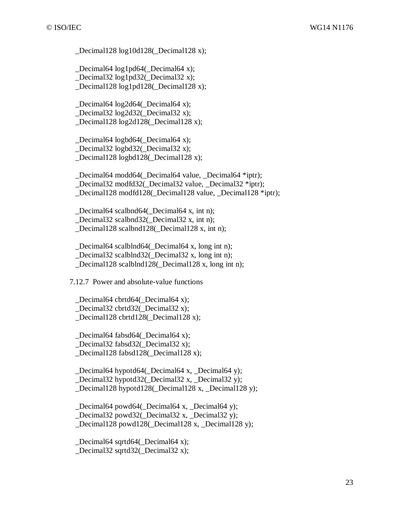Decimal128  $log10d128$  Decimal128 x);

Decimal64 log1pd64( Decimal64 x); \_Decimal32 log1pd32(\_Decimal32 x); Decimal128 log1pd128( Decimal128 x);

Decimal64  $log2d64$  Decimal64 x); \_Decimal32 log2d32(\_Decimal32 x); \_Decimal128 log2d128(\_Decimal128 x);

 \_Decimal64 logbd64(\_Decimal64 x); \_Decimal32 logbd32(\_Decimal32 x);

Decimal128 logbd128( Decimal128 x);

 \_Decimal64 modd64(\_Decimal64 value, \_Decimal64 \*iptr); \_Decimal32 modfd32(\_Decimal32 value, \_Decimal32 \*iptr); Decimal128 modfd128( Decimal128 value, Decimal128 \*iptr);

 \_Decimal64 scalbnd64(\_Decimal64 x, int n); \_Decimal32 scalbnd32(\_Decimal32 x, int n); \_Decimal128 scalbnd128(\_Decimal128 x, int n);

Decimal64 scalblnd64( Decimal64 x, long int n); \_Decimal32 scalblnd32(\_Decimal32 x, long int n); Decimal128 scalblnd128( Decimal128 x, long int n);

7.12.7 Power and absolute-value functions

 \_Decimal64 cbrtd64(\_Decimal64 x); Decimal32 cbrtd32( Decimal32 x); \_Decimal128 cbrtd128(\_Decimal128 x);

Decimal64 fabsd64( Decimal64 x); Decimal32 fabsd32( Decimal32 x);

Decimal128 fabsd128( Decimal128 x);

 \_Decimal64 hypotd64(\_Decimal64 x, \_Decimal64 y); Decimal32 hypotd32( Decimal32 x, Decimal32 y); \_Decimal128 hypotd128(\_Decimal128 x, \_Decimal128 y);

 \_Decimal64 powd64(\_Decimal64 x, \_Decimal64 y); \_Decimal32 powd32(\_Decimal32 x, \_Decimal32 y); Decimal128 powd128( Decimal128 x, Decimal128 y);

 \_Decimal64 sqrtd64(\_Decimal64 x); Decimal32 sqrtd32( Decimal32 x);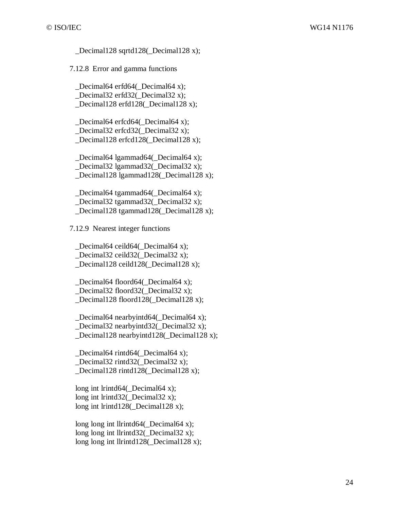Decimal128 sqrtd128( Decimal128 x);

7.12.8 Error and gamma functions

Decimal64 erfd64( Decimal64 x); \_Decimal32 erfd32(\_Decimal32 x); Decimal128 erfd128( Decimal128 x);

 \_Decimal64 erfcd64(\_Decimal64 x); \_Decimal32 erfcd32(\_Decimal32 x); Decimal128 erfcd128( Decimal128 x);

Decimal64 lgammad64( $\Delta$ Decimal64 x); \_Decimal32 lgammad32(\_Decimal32 x); Decimal128 lgammad128( Decimal128 x);

 \_Decimal64 tgammad64(\_Decimal64 x); \_Decimal32 tgammad32(\_Decimal32 x); \_Decimal128 tgammad128(\_Decimal128 x);

7.12.9 Nearest integer functions

Decimal64 ceild64( Decimal64 x); \_Decimal32 ceild32(\_Decimal32 x); Decimal128 ceild128( Decimal128 x);

 \_Decimal64 floord64(\_Decimal64 x); Decimal32 floord32( Decimal32 x); \_Decimal128 floord128(\_Decimal128 x);

 \_Decimal64 nearbyintd64(\_Decimal64 x); \_Decimal32 nearbyintd32(\_Decimal32 x); \_Decimal128 nearbyintd128(\_Decimal128 x);

 \_Decimal64 rintd64(\_Decimal64 x); Decimal32 rintd32( Decimal32 x); Decimal128 rintd128( Decimal128 x);

long int lrintd64(\_Decimal64 x); long int lrintd32(\_Decimal32 x); long int lrintd128(\_Decimal128 x);

long long int llrintd $64$ (Decimal $64$  x); long long int llrintd $32$ ( Decimal $32$  x); long long int llrintd128( Decimal128 x);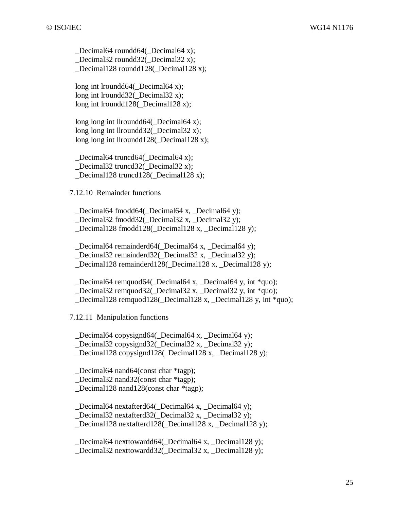\_Decimal64 roundd64(\_Decimal64 x); \_Decimal32 roundd32(\_Decimal32 x); Decimal128 roundd128( Decimal128 x);

long int lroundd64( Decimal64 x); long int lroundd32(\_Decimal32 x); long int lroundd128( Decimal128 x);

long long int llroundd $64$ ( Decimal $64$  x); long long int llroundd $32$ ( Decimal $32$  x); long long int llroundd128(\_Decimal128 x);

Decimal64 truncd64( Decimal64 x); Decimal32 truncd32( Decimal32 x); Decimal128 truncd128( Decimal128 x);

7.12.10 Remainder functions

 \_Decimal64 fmodd64(\_Decimal64 x, \_Decimal64 y); \_Decimal32 fmodd32(\_Decimal32 x, \_Decimal32 y); \_Decimal128 fmodd128(\_Decimal128 x, \_Decimal128 y);

Decimal64 remainderd64( Decimal64 x, Decimal64 y); \_Decimal32 remainderd32(\_Decimal32 x, \_Decimal32 y); Decimal128 remainderd128( Decimal128 x, Decimal128 y);

 \_Decimal64 remquod64(\_Decimal64 x, \_Decimal64 y, int \*quo); Decimal32 remquod32( Decimal32 x, Decimal32 y, int \*quo); \_Decimal128 remquod128(\_Decimal128 x, \_Decimal128 y, int \*quo);

7.12.11 Manipulation functions

Decimal64 copysignd64( Decimal64 x, Decimal64 y); Decimal32 copysignd32( Decimal32 x, Decimal32 y); Decimal128 copysignd128( Decimal128 x, Decimal128 y);

\_Decimal64 nand64(const char \*tagp);

Decimal32 nand32(const char \*tagp); \_Decimal128 nand128(const char \*tagp);

\_Decimal64 nextafterd64(\_Decimal64 x, \_Decimal64 y);

\_Decimal32 nextafterd32(\_Decimal32 x, \_Decimal32 y);

Decimal128 nextafterd128( Decimal128 x, Decimal128 y);

 \_Decimal64 nexttowardd64(\_Decimal64 x, \_Decimal128 y); Decimal32 nexttowardd32( Decimal32 x, Decimal128 y);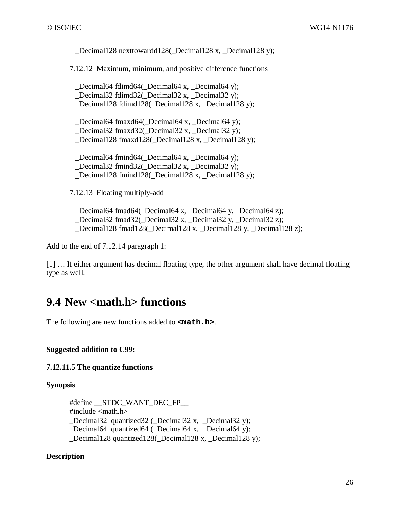Decimal128 nexttowardd128( Decimal128 x, Decimal128 y);

7.12.12 Maximum, minimum, and positive difference functions

Decimal64 fdimd64( $\Delta$ Decimal64 x, Decimal64 y); \_Decimal32 fdimd32(\_Decimal32 x, \_Decimal32 y); Decimal128 fdimd128( Decimal128 x, Decimal128 y);

 \_Decimal64 fmaxd64(\_Decimal64 x, \_Decimal64 y); \_Decimal32 fmaxd32(\_Decimal32 x, \_Decimal32 y); Decimal128 fmaxd128( Decimal128 x, Decimal128 y);

Decimal64 fmind64( Decimal64 x, Decimal64 y); \_Decimal32 fmind32(\_Decimal32 x, \_Decimal32 y); Decimal128 fmind128( Decimal128 x, Decimal128 y);

7.12.13 Floating multiply-add

 \_Decimal64 fmad64(\_Decimal64 x, \_Decimal64 y, \_Decimal64 z); \_Decimal32 fmad32(\_Decimal32 x, \_Decimal32 y, \_Decimal32 z); \_Decimal128 fmad128(\_Decimal128 x, \_Decimal128 y, \_Decimal128 z);

Add to the end of 7.12.14 paragraph 1:

[1] … If either argument has decimal floating type, the other argument shall have decimal floating type as well.

### **9.4 New <math.h> functions**

The following are new functions added to **<math.h>**.

**Suggested addition to C99:** 

**7.12.11.5 The quantize functions** 

#### **Synopsis**

#define \_\_STDC\_WANT\_DEC\_FP\_\_ #include <math.h> \_Decimal32 quantized32 (\_Decimal32 x, \_Decimal32 y); Decimal64 quantized64 ( $\Delta$ Decimal64 x, Decimal64 y); \_Decimal128 quantized128(\_Decimal128 x, \_Decimal128 y);

#### **Description**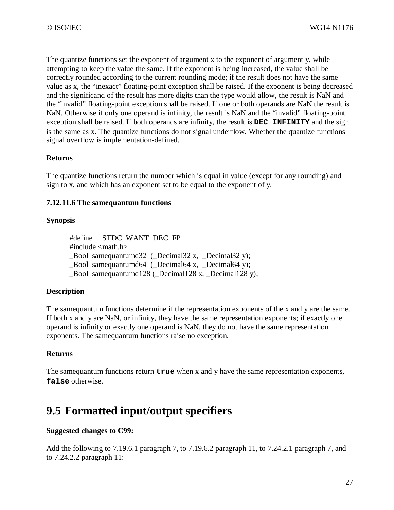The quantize functions set the exponent of argument x to the exponent of argument y, while attempting to keep the value the same*.* If the exponent is being increased, the value shall be correctly rounded according to the current rounding mode; if the result does not have the same value as x, the "inexact" floating-point exception shall be raised. If the exponent is being decreased and the significand of the result has more digits than the type would allow, the result is NaN and the "invalid" floating-point exception shall be raised. If one or both operands are NaN the result is NaN. Otherwise if only one operand is infinity, the result is NaN and the "invalid" floating-point exception shall be raised. If both operands are infinity, the result is **DEC\_INFINITY** and the sign is the same as x. The quantize functions do not signal underflow. Whether the quantize functions signal overflow is implementation-defined.

#### **Returns**

The quantize functions return the number which is equal in value (except for any rounding) and sign to x, and which has an exponent set to be equal to the exponent of y.

#### **7.12.11.6 The samequantum functions**

#### **Synopsis**

#define STDC WANT DEC FP #include  $\langle$  math.h $>$ Bool samequantumd32 ( $\Delta$ Decimal32 x, Decimal32 y); \_Bool samequantumd64 (\_Decimal64 x, \_Decimal64 y); Bool samequantumd $128$  (Decimal128 x, Decimal128 y);

#### **Description**

The samequantum functions determine if the representation exponents of the x and y are the same. If both x and y are NaN, or infinity, they have the same representation exponents; if exactly one operand is infinity or exactly one operand is NaN, they do not have the same representation exponents. The samequantum functions raise no exception.

#### **Returns**

The samequantum functions return **true** when x and y have the same representation exponents, **false** otherwise.

### **9.5 Formatted input/output specifiers**

#### **Suggested changes to C99:**

Add the following to 7.19.6.1 paragraph 7, to 7.19.6.2 paragraph 11, to 7.24.2.1 paragraph 7, and to 7.24.2.2 paragraph 11: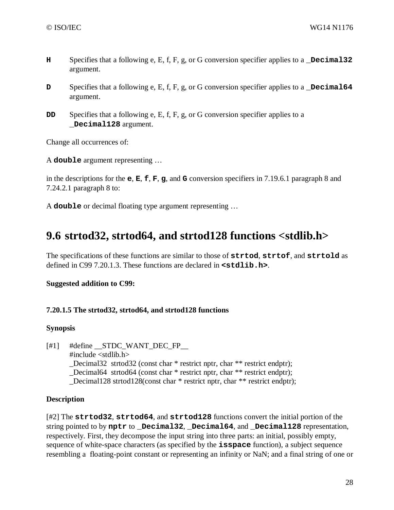- **H** Specifies that a following e, E, f, F, g, or G conversion specifier applies to a **\_Decimal32** argument.
- **D** Specifies that a following e, E, f, F, g, or G conversion specifier applies to a **Decimal64** argument.
- **DD** Specifies that a following e, E, f, F, g, or G conversion specifier applies to a **\_Decimal128** argument.

Change all occurrences of:

A **double** argument representing …

in the descriptions for the **e**, **E**, **f**, **F**, **g**, and **G** conversion specifiers in 7.19.6.1 paragraph 8 and 7.24.2.1 paragraph 8 to:

A **double** or decimal floating type argument representing …

### **9.6 strtod32, strtod64, and strtod128 functions <stdlib.h>**

The specifications of these functions are similar to those of **strtod**, **strtof**, and **strtold** as defined in C99 7.20.1.3. These functions are declared in **<stdlib.h>**.

#### **Suggested addition to C99:**

#### **7.20.1.5 The strtod32, strtod64, and strtod128 functions**

#### **Synopsis**

[#1] #define \_\_STDC\_WANT\_DEC\_FP\_\_ #include <stdlib.h> \_Decimal32 strtod32 (const char \* restrict nptr, char \*\* restrict endptr); Decimal64 strtod64 (const char \* restrict nptr, char \*\* restrict endptr); \_Decimal128 strtod128(const char \* restrict nptr, char \*\* restrict endptr);

#### **Description**

[#2] The **strtod32**, **strtod64**, and **strtod128** functions convert the initial portion of the string pointed to by **nptr** to **Decimal32**, **Decimal64**, and **Decimal128** representation, respectively. First, they decompose the input string into three parts: an initial, possibly empty, sequence of white-space characters (as specified by the **isspace** function), a subject sequence resembling a floating-point constant or representing an infinity or NaN; and a final string of one or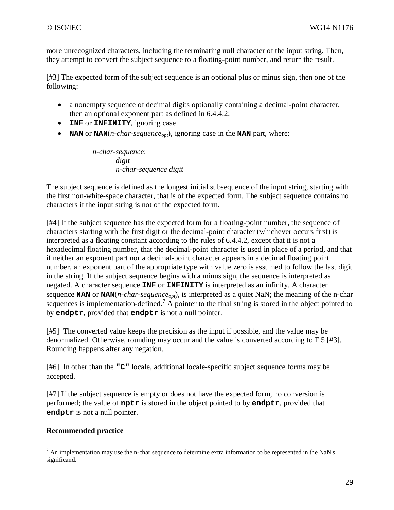more unrecognized characters, including the terminating null character of the input string. Then, they attempt to convert the subject sequence to a floating-point number, and return the result.

[#3] The expected form of the subject sequence is an optional plus or minus sign, then one of the following:

- a nonempty sequence of decimal digits optionally containing a decimal-point character, then an optional exponent part as defined in 6.4.4.2;
- **INF** or **INFINITY**, ignoring case
- **NAN** or **NAN**(*n-char-sequenceopt*), ignoring case in the **NAN** part, where:

*n-char-sequence*: *digit n-char-sequence digit* 

The subject sequence is defined as the longest initial subsequence of the input string, starting with the first non-white-space character, that is of the expected form. The subject sequence contains no characters if the input string is not of the expected form.

[#4] If the subject sequence has the expected form for a floating-point number, the sequence of characters starting with the first digit or the decimal-point character (whichever occurs first) is interpreted as a floating constant according to the rules of 6.4.4.2, except that it is not a hexadecimal floating number, that the decimal-point character is used in place of a period, and that if neither an exponent part nor a decimal-point character appears in a decimal floating point number, an exponent part of the appropriate type with value zero is assumed to follow the last digit in the string. If the subject sequence begins with a minus sign, the sequence is interpreted as negated. A character sequence **INF** or **INFINITY** is interpreted as an infinity. A character sequence **NAN** or **NAN**(*n-char-sequenceopt*), is interpreted as a quiet NaN; the meaning of the n-char sequences is implementation-defined.<sup>7</sup> A pointer to the final string is stored in the object pointed to by **endptr**, provided that **endptr** is not a null pointer.

[#5] The converted value keeps the precision as the input if possible, and the value may be denormalized. Otherwise, rounding may occur and the value is converted according to F.5 [#3]. Rounding happens after any negation.

[#6] In other than the **"C"** locale, additional locale-specific subject sequence forms may be accepted.

[#7] If the subject sequence is empty or does not have the expected form, no conversion is performed; the value of **nptr** is stored in the object pointed to by **endptr**, provided that **endptr** is not a null pointer.

#### **Recommended practice**

<sup>&</sup>lt;sup>7</sup> An implementation may use the n-char sequence to determine extra information to be represented in the NaN's significand.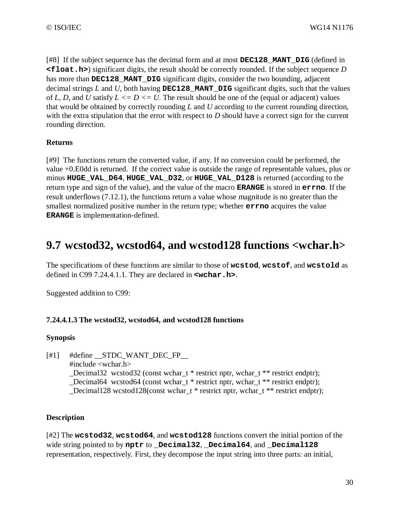[#8] If the subject sequence has the decimal form and at most **DEC128\_MANT\_DIG** (defined in **<float.h>**) significant digits, the result should be correctly rounded. If the subject sequence *D* has more than **DEC128\_MANT\_DIG** significant digits, consider the two bounding, adjacent decimal strings *L* and *U*, both having **DEC128\_MANT\_DIG** significant digits, such that the values of *L*, *D*, and *U* satisfy  $L \le D \le U$ . The result should be one of the (equal or adjacent) values that would be obtained by correctly rounding *L* and *U* according to the current rounding direction, with the extra stipulation that the error with respect to *D* should have a correct sign for the current rounding direction.

#### **Returns**

[#9] The functions return the converted value, if any. If no conversion could be performed, the value +0.E0dd is returned. If the correct value is outside the range of representable values, plus or minus **HUGE\_VAL\_D64**, **HUGE\_VAL\_D32**, or **HUGE\_VAL\_D128** is returned (according to the return type and sign of the value), and the value of the macro **ERANGE** is stored in **errno**. If the result underflows (7.12.1), the functions return a value whose magnitude is no greater than the smallest normalized positive number in the return type; whether **errno** acquires the value **ERANGE** is implementation-defined.

### **9.7 wcstod32, wcstod64, and wcstod128 functions <wchar.h>**

The specifications of these functions are similar to those of **wcstod**, **wcstof**, and **wcstold** as defined in C99 7.24.4.1.1. They are declared in **<wchar.h>**.

Suggested addition to C99:

#### **7.24.4.1.3 The wcstod32, wcstod64, and wcstod128 functions**

#### **Synopsis**

 $[#1]$  #define STDC WANT DEC FP

#include <wchar.h>

\_Decimal32 wcstod32 (const wchar\_t \* restrict nptr, wchar\_t \*\* restrict endptr);

Decimal64 wcstod64 (const wchar  $t *$  restrict nptr, wchar  $t * *$  restrict endptr);

\_Decimal128 wcstod128(const wchar\_t \* restrict nptr, wchar\_t \*\* restrict endptr);

#### **Description**

[#2] The **wcstod32**, **wcstod64**, and **wcstod128** functions convert the initial portion of the wide string pointed to by **nptr** to **\_Decimal32**, **\_Decimal64**, and **\_Decimal128** representation, respectively. First, they decompose the input string into three parts: an initial,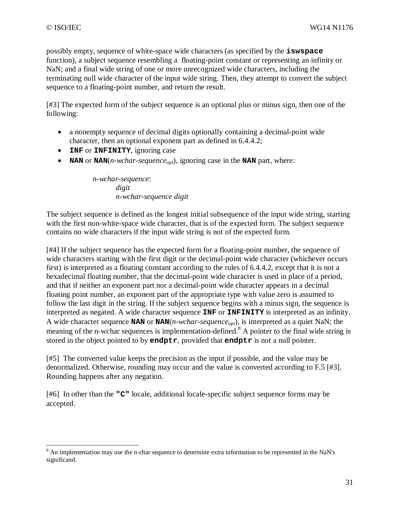possibly empty, sequence of white-space wide characters (as specified by the **iswspace** function), a subject sequence resembling a floating-point constant or representing an infinity or NaN; and a final wide string of one or more unrecognized wide characters, including the terminating null wide character of the input wide string. Then, they attempt to convert the subject sequence to a floating-point number, and return the result.

[#3] The expected form of the subject sequence is an optional plus or minus sign, then one of the following:

- a nonempty sequence of decimal digits optionally containing a decimal-point wide character, then an optional exponent part as defined in 6.4.4.2;
- **INF** or **INFINITY**, ignoring case
- **NAN** or **NAN**(*n-wchar-sequence<sub>opt</sub>*), ignoring case in the **NAN** part, where:

*n-wchar-sequence*: *digit n-wchar-sequence digit* 

The subject sequence is defined as the longest initial subsequence of the input wide string, starting with the first non-white-space wide character, that is of the expected form. The subject sequence contains no wide characters if the input wide string is not of the expected form.

[#4] If the subject sequence has the expected form for a floating-point number, the sequence of wide characters starting with the first digit or the decimal-point wide character (whichever occurs first) is interpreted as a floating constant according to the rules of 6.4.4.2, except that it is not a hexadecimal floating number, that the decimal-point wide character is used in place of a period, and that if neither an exponent part nor a decimal-point wide character appears in a decimal floating point number, an exponent part of the appropriate type with value zero is assumed to follow the last digit in the string. If the subject sequence begins with a minus sign, the sequence is interpreted as negated. A wide character sequence **INF** or **INFINITY** is interpreted as an infinity. A wide character sequence **NAN** or **NAN**(*n-wchar-sequenceopt*), is interpreted as a quiet NaN; the meaning of the n-wchar sequences is implementation-defined.<sup>8</sup> A pointer to the final wide string is stored in the object pointed to by **endptr**, provided that **endptr** is not a null pointer.

[#5] The converted value keeps the precision as the input if possible, and the value may be denormalized. Otherwise, rounding may occur and the value is converted according to F.5 [#3]. Rounding happens after any negation.

[#6] In other than the **"C"** locale, additional locale-specific subject sequence forms may be accepted.

<sup>&</sup>lt;sup>8</sup> An implementation may use the n-char sequence to determine extra information to be represented in the NaN's significand.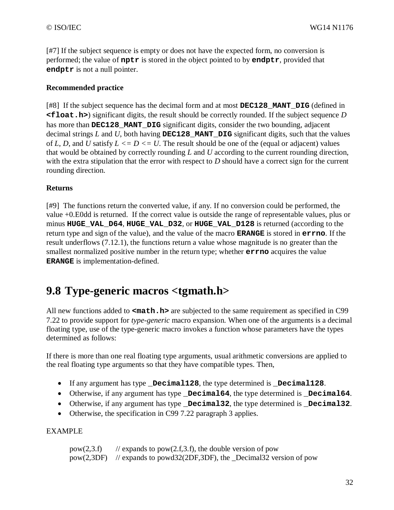[#7] If the subject sequence is empty or does not have the expected form, no conversion is performed; the value of **nptr** is stored in the object pointed to by **endptr**, provided that **endptr** is not a null pointer.

#### **Recommended practice**

[#8] If the subject sequence has the decimal form and at most **DEC128\_MANT\_DIG** (defined in **<float.h>**) significant digits, the result should be correctly rounded. If the subject sequence *D* has more than **DEC128** MANT DIG significant digits, consider the two bounding, adjacent decimal strings  $L$  and  $U$ , both having **DEC128** MANT **DIG** significant digits, such that the values of *L*, *D*, and *U* satisfy  $L \le D \le U$ . The result should be one of the (equal or adjacent) values that would be obtained by correctly rounding *L* and *U* according to the current rounding direction, with the extra stipulation that the error with respect to *D* should have a correct sign for the current rounding direction.

#### **Returns**

[#9] The functions return the converted value, if any. If no conversion could be performed, the value +0.E0dd is returned. If the correct value is outside the range of representable values, plus or minus **HUGE\_VAL\_D64**, **HUGE\_VAL\_D32**, or **HUGE\_VAL\_D128** is returned (according to the return type and sign of the value), and the value of the macro **ERANGE** is stored in **errno**. If the result underflows (7.12.1), the functions return a value whose magnitude is no greater than the smallest normalized positive number in the return type; whether **errno** acquires the value **ERANGE** is implementation-defined.

### **9.8 Type-generic macros <tgmath.h>**

All new functions added to **<math.h>** are subjected to the same requirement as specified in C99 7.22 to provide support for *type-generic* macro expansion. When one of the arguments is a decimal floating type, use of the type-generic macro invokes a function whose parameters have the types determined as follows:

If there is more than one real floating type arguments, usual arithmetic conversions are applied to the real floating type arguments so that they have compatible types. Then,

- If any argument has type **\_Decimal128**, the type determined is **\_Decimal128**.
- Otherwise, if any argument has type **Decimal64**, the type determined is **Decimal64**.
- Otherwise, if any argument has type **\_Decimal32**, the type determined is **\_Decimal32**.
- Otherwise, the specification in C99 7.22 paragraph 3 applies.

#### EXAMPLE

| pow(2,3.f) | // expands to $pow(2.f,3.f)$ , the double version of pow                  |
|------------|---------------------------------------------------------------------------|
|            | $pow(2,3DF)$ // expands to powd32(2DF,3DF), the _Decimal32 version of pow |